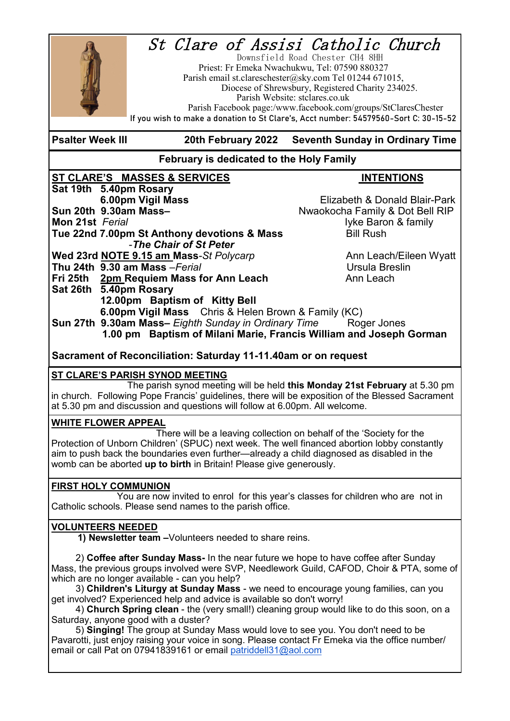# St Clare of Assisi Catholic Church



 Downsfield Road Chester CH4 8HH Priest: Fr Emeka Nwachukwu, Tel: 07590 880327 Parish email st.clareschester@sky.com Tel 01244 671015, Diocese of Shrewsbury, Registered Charity 234025. Parish Website: stclares.co.uk Parish Facebook page:/www.facebook.com/groups/StClaresChester

**If you wish to make a donation to St Clare's, Acct number: 54579560-Sort C: 30-15-52**

#### **Psalter Week III 20th February 2022 Seventh Sunday in Ordinary Time**

#### **February is dedicated to the Holy Family**

#### **ST CLARE'S MASSES & SERVICES INTENTIONS Sat 19th 5.40pm Rosary**

**6.00pm Vigil Mass 6.00pm Vigil Mass Elizabeth & Donald Blair-Park**<br>Nwaokocha Family & Dot Bell RIP **Mon 21st** *Ferial* **If the** *Ferial* **I**Vke Baron & family **Tue 22nd 7.00pm St Anthony devotions & Mass Bill Rush** -*The Chair of St Peter* **Wed 23rd NOTE 9.15 am Mass-St Polycarp <b>Ann Leach/Eileen Wyatt Thu 24th 9.30 am Mass** – *Ferial* **Contract Contract Contract Contract Contract Contract Contract Contract Contract Contract Contract Contract Contract Contract Contract Contract Contract Contract Contract Contract Contra Fri 25th** 2pm Requiem Mass for Ann Leach **Ann Leach** Ann Leach **Sat 26th 5.40pm Rosary 12.00pm Baptism of Kitty Bell 6.00pm Vigil Mass** Chris & Helen Brown & Family (KC) **Sun 27th 9.30am Mass–** Eighth Sunday in Ordinary Time Roger Jones

**Sun 20th 9.30am Mass–**Nwaokocha Family & Dot Bell RIP

 **1.00 pm Baptism of Milani Marie, Francis William and Joseph Gorman** 

**Sacrament of Reconciliation: Saturday 11-11.40am or on request**

#### **ST CLARE'S PARISH SYNOD MEETING**

The parish synod meeting will be held **this Monday 21st February** at 5.30 pm in church. Following Pope Francis' guidelines, there will be exposition of the Blessed Sacrament at 5.30 pm and discussion and questions will follow at 6.00pm. All welcome.

#### **WHITE FLOWER APPEAL**

 There will be a leaving collection on behalf of the 'Society for the Protection of Unborn Children' (SPUC) next week. The well financed abortion lobby constantly aim to push back the boundaries even further—already a child diagnosed as disabled in the womb can be aborted **up to birth** in Britain! Please give generously.

#### **FIRST HOLY COMMUNION**

You are now invited to enrol for this year's classes for children who are not in Catholic schools. Please send names to the parish office.

#### **VOLUNTEERS NEEDED**

 **1) Newsletter team –**Volunteers needed to share reins.

2) **Coffee after Sunday Mass-** In the near future we hope to have coffee after Sunday Mass, the previous groups involved were SVP, Needlework Guild, CAFOD, Choir & PTA, some of which are no longer available - can you help?

3) **Children's Liturgy at Sunday Mass** - we need to encourage young families, can you get involved? Experienced help and advice is available so don't worry!

4) **Church Spring clean** - the (very small!) cleaning group would like to do this soon, on a Saturday, anyone good with a duster?

5) **Singing!** The group at Sunday Mass would love to see you. You don't need to be Pavarotti, just enjoy raising your voice in song. Please contact Fr Emeka via the office number/ email or call Pat on 07941839161 or email [patriddell31@aol.com](mailto:patriddell31@aol.com)